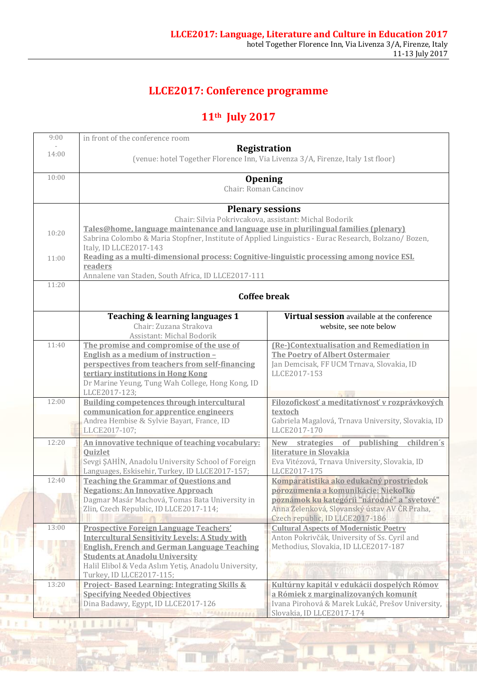### **LLCE2017: Conference programme**

# **11th July 2017**

| 9:00  | in front of the conference room                                                                     |                                                                                    |
|-------|-----------------------------------------------------------------------------------------------------|------------------------------------------------------------------------------------|
|       | Registration                                                                                        |                                                                                    |
| 14:00 | (venue: hotel Together Florence Inn, Via Livenza 3/A, Firenze, Italy 1st floor)                     |                                                                                    |
|       |                                                                                                     |                                                                                    |
| 10:00 | <b>Opening</b>                                                                                      |                                                                                    |
|       | Chair: Roman Cancinov                                                                               |                                                                                    |
|       |                                                                                                     |                                                                                    |
|       | <b>Plenary sessions</b><br>Chair: Silvia Pokrivcakova, assistant: Michal Bodorik                    |                                                                                    |
|       | Tales@home, language maintenance and language use in plurilingual families (plenary)                |                                                                                    |
| 10:20 | Sabrina Colombo & Maria Stopfner, Institute of Applied Linguistics - Eurac Research, Bolzano/Bozen, |                                                                                    |
|       | Italy, ID LLCE2017-143                                                                              |                                                                                    |
| 11:00 | Reading as a multi-dimensional process: Cognitive-linguistic processing among novice ESL            |                                                                                    |
|       | readers                                                                                             |                                                                                    |
|       | Annalene van Staden, South Africa, ID LLCE2017-111                                                  |                                                                                    |
| 11:20 |                                                                                                     |                                                                                    |
|       | <b>Coffee break</b>                                                                                 |                                                                                    |
|       |                                                                                                     |                                                                                    |
|       | Teaching & learning languages 1                                                                     | Virtual session available at the conference                                        |
|       | Chair: Zuzana Strakova<br>Assistant: Michal Bodorik                                                 | website, see note below                                                            |
| 11:40 | The promise and compromise of the use of                                                            | (Re-)Contextualisation and Remediation in                                          |
|       | English as a medium of instruction -                                                                | <b>The Poetry of Albert Ostermaier</b>                                             |
|       | perspectives from teachers from self-financing                                                      | Jan Demcisak, FF UCM Trnava, Slovakia, ID                                          |
|       | tertiary institutions in Hong Kong                                                                  | LLCE2017-153                                                                       |
|       | Dr Marine Yeung, Tung Wah College, Hong Kong, ID                                                    |                                                                                    |
|       | LLCE2017-123;                                                                                       |                                                                                    |
| 12:00 | <b>Building competences through intercultural</b>                                                   | Filozofickosť a meditatívnosť v rozprávkových                                      |
|       | communication for apprentice engineers                                                              | textoch                                                                            |
|       | Andrea Hembise & Sylvie Bayart, France, ID                                                          | Gabriela Magalová, Trnava University, Slovakia, ID                                 |
|       | LLCE2017-107;                                                                                       | LLCE2017-170                                                                       |
| 12:20 | An innovative technique of teaching vocabulary:                                                     | of<br>publishing children's<br>New strategies                                      |
|       | Quizlet                                                                                             | literature in Slovakia                                                             |
|       | Sevgi ŞAHİN, Anadolu University School of Foreign                                                   | Eva Vitézová, Trnava University, Slovakia, ID                                      |
| 12:40 | Languages, Eskisehir, Turkey, ID LLCE2017-157;                                                      | LLCE2017-175                                                                       |
|       | <b>Teaching the Grammar of Questions and</b><br><b>Negations: An Innovative Approach</b>            | Komparatistika ako edukačný prostriedok                                            |
|       | Dagmar Masár Machová, Tomas Bata University in                                                      | porozumenia a komunikácie: Niekoľko<br>poznámok ku kategórii "národné" a "svetové" |
|       | Zlin, Czech Republic, ID LLCE2017-114;                                                              | Anna Zelenková, Slovanský ústav AV ČR Praha,                                       |
|       |                                                                                                     | Czech republic, ID LLCE2017-186                                                    |
| 13:00 | <b>Prospective Foreign Language Teachers'</b>                                                       | <b>Cultural Aspects of Modernistic Poetry</b>                                      |
|       | <b>Intercultural Sensitivity Levels: A Study with</b>                                               | Anton Pokrivčák, University of Ss. Cyril and                                       |
|       | <b>English, French and German Language Teaching</b>                                                 | Methodius, Slovakia, ID LLCE2017-187                                               |
|       | <b>Students at Anadolu University</b>                                                               |                                                                                    |
|       | Halil Elibol & Veda Aslım Yetiş, Anadolu University,                                                |                                                                                    |
|       | Turkey, ID LLCE2017-115;                                                                            |                                                                                    |
| 13:20 | <b>Project-Based Learning: Integrating Skills &amp;</b>                                             | Kultúrny kapitál v edukácii dospelých Rómov                                        |
|       | <b>Specifying Needed Objectives</b>                                                                 | a Rómiek z marginalizovaných komunít                                               |
|       | Dina Badawy, Egypt, ID LLCE2017-126                                                                 | Ivana Pirohová & Marek Lukáč, Prešov University,                                   |
|       | <b>MARABARARARA</b>                                                                                 | Slovakia, ID LLCE2017-174                                                          |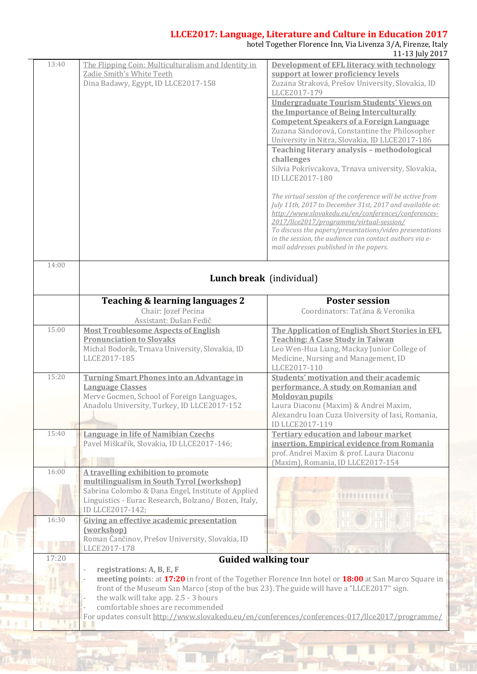#### **LLCE2017: Language, Literature and Culture in Education 2017**

hotel Together Florence Inn, Via Livenza 3/A, Firenze, Italy

|       |                                                                                                | 11-13 July 2017                                                                                      |
|-------|------------------------------------------------------------------------------------------------|------------------------------------------------------------------------------------------------------|
| 13:40 | The Flipping Coin: Multiculturalism and Identity in                                            | Development of EFL literacy with technology                                                          |
|       | Zadie Smith's White Teeth                                                                      | support at lower proficiency levels                                                                  |
|       | Dina Badawy, Egypt, ID LLCE2017-158                                                            | Zuzana Straková, Prešov University, Slovakia, ID                                                     |
|       |                                                                                                | LLCE2017-179                                                                                         |
|       |                                                                                                | <b>Undergraduate Tourism Students' Views on</b>                                                      |
|       |                                                                                                | the Importance of Being Interculturally                                                              |
|       |                                                                                                | <b>Competent Speakers of a Foreign Language</b>                                                      |
|       |                                                                                                | Zuzana Sándorová, Constantine the Philosopher                                                        |
|       |                                                                                                | University in Nitra, Slovakia, ID LLCE2017-186                                                       |
|       |                                                                                                | Teaching literary analysis - methodological                                                          |
|       |                                                                                                | challenges                                                                                           |
|       |                                                                                                | Silvia Pokrivcakova, Trnava university, Slovakia,                                                    |
|       |                                                                                                | <b>ID LLCE2017-180</b>                                                                               |
|       |                                                                                                |                                                                                                      |
|       |                                                                                                | The virtual session of the conference will be active from                                            |
|       |                                                                                                | July 11th, 2017 to December 31st, 2017 and available at:                                             |
|       |                                                                                                | http://www.slovakedu.eu/en/conferences/conferences-                                                  |
|       |                                                                                                | 2017/Ilce2017/programme/virtual-session/                                                             |
|       |                                                                                                | To discuss the papers/presentations/video presentations                                              |
|       |                                                                                                | in the session, the audience can contact authors via e-                                              |
|       |                                                                                                | mail addresses published in the papers.                                                              |
| 14:00 |                                                                                                |                                                                                                      |
|       |                                                                                                |                                                                                                      |
|       |                                                                                                | Lunch break (individual)                                                                             |
|       |                                                                                                |                                                                                                      |
|       | Teaching & learning languages 2                                                                | <b>Poster session</b>                                                                                |
|       | Chair: Jozef Pecina                                                                            | Coordinators: Taťána & Veronika                                                                      |
|       | Assistant: Dušan Fedič                                                                         |                                                                                                      |
| 15:00 | <b>Most Troublesome Aspects of English</b>                                                     | The Application of English Short Stories in EFL                                                      |
|       | <b>Pronunciation to Slovaks</b>                                                                |                                                                                                      |
|       |                                                                                                | <b>Teaching: A Case Study in Taiwan</b>                                                              |
|       | Michal Bodorík, Trnava University, Slovakia, ID                                                | Leo Wen-Hua Liang, Mackay Junior College of                                                          |
|       | LLCE2017-185                                                                                   | Medicine, Nursing and Management, ID                                                                 |
|       |                                                                                                | LLCE2017-110                                                                                         |
| 15:20 | Turning Smart Phones into an Advantage in                                                      | <b>Students' motivation and their academic</b>                                                       |
|       | <b>Language Classes</b>                                                                        | performance. A study on Romanian and                                                                 |
|       | Merve Gocmen, School of Foreign Languages,                                                     | <b>Moldovan pupils</b>                                                                               |
|       | Anadolu University, Turkey, ID LLCE2017-152                                                    | Laura Diaconu (Maxim) & Andrei Maxim,                                                                |
|       |                                                                                                | Alexandru Ioan Cuza University of Iasi, Romania,                                                     |
|       |                                                                                                | <b>ID LLCE2017-119</b>                                                                               |
| 15:40 | Language in life of Namibian Czechs                                                            | <b>Tertiary education and labour market</b>                                                          |
|       | Pavel Miškařík, Slovakia, ID LLCE2017-146;                                                     | insertion. Empirical evidence from Romania                                                           |
|       |                                                                                                | prof. Andrei Maxim & prof. Laura Diaconu                                                             |
|       |                                                                                                | (Maxim), Romania, ID LLCE2017-154                                                                    |
| 16:00 | A travelling exhibition to promote                                                             |                                                                                                      |
|       | multilingualism in South Tyrol (workshop)                                                      |                                                                                                      |
|       | Sabrina Colombo & Dana Engel, Institute of Applied                                             | <b><i>APRRECEDEN</i></b>                                                                             |
|       | Linguistics - Eurac Research, Bolzano/Bozen, Italy,                                            |                                                                                                      |
|       | ID LLCE2017-142;                                                                               |                                                                                                      |
| 16:30 | Giving an effective academic presentation                                                      |                                                                                                      |
|       | (workshop)                                                                                     |                                                                                                      |
|       | Roman Čančinov, Prešov University, Slovakia, ID                                                |                                                                                                      |
|       | LLCE2017-178                                                                                   |                                                                                                      |
| 17:20 |                                                                                                | <b>Guided walking tour</b>                                                                           |
|       | registrations: A, B, E, F                                                                      |                                                                                                      |
|       |                                                                                                | meeting points: at 17:20 in front of the Together Florence Inn hotel or 18:00 at San Marco Square in |
|       | front of the Museum San Marco (stop of the bus 23). The guide will have a "LLCE2017" sign.     |                                                                                                      |
|       | the walk will take app. 2.5 - 3 hours                                                          |                                                                                                      |
|       | comfortable shoes are recommended                                                              |                                                                                                      |
|       | For updates consult http://www.slovakedu.eu/en/conferences/conferences-017/llce2017/programme/ |                                                                                                      |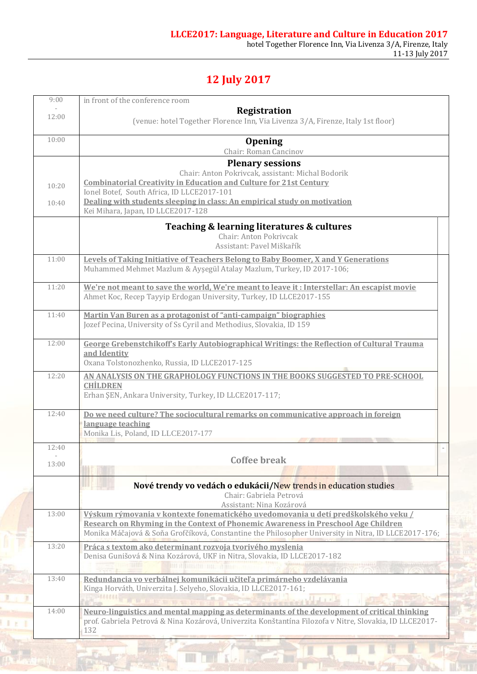## **12 July 2017**

| 9:00           | in front of the conference room                                                                                                                                                                                                                                                                                            |  |
|----------------|----------------------------------------------------------------------------------------------------------------------------------------------------------------------------------------------------------------------------------------------------------------------------------------------------------------------------|--|
| 12:00          | Registration<br>(venue: hotel Together Florence Inn, Via Livenza 3/A, Firenze, Italy 1st floor)                                                                                                                                                                                                                            |  |
| 10:00          | <b>Opening</b><br>Chair: Roman Cancinov                                                                                                                                                                                                                                                                                    |  |
| 10:20<br>10:40 | <b>Plenary sessions</b><br>Chair: Anton Pokrivcak, assistant: Michal Bodorik<br><b>Combinatorial Creativity in Education and Culture for 21st Century</b><br>Ionel Botef, South Africa, ID LLCE2017-101<br>Dealing with students sleeping in class: An empirical study on motivation<br>Kei Mihara, Japan, ID LLCE2017-128 |  |
|                | Teaching & learning literatures & cultures<br>Chair: Anton Pokrivcak<br>Assistant: Pavel Miškařík                                                                                                                                                                                                                          |  |
| 11:00          | <b>Levels of Taking Initiative of Teachers Belong to Baby Boomer, X and Y Generations</b><br>Muhammed Mehmet Mazlum & Ayşegül Atalay Mazlum, Turkey, ID 2017-106;                                                                                                                                                          |  |
| 11:20          | We're not meant to save the world, We're meant to leave it: Interstellar: An escapist movie<br>Ahmet Koc, Recep Tayyip Erdogan University, Turkey, ID LLCE2017-155                                                                                                                                                         |  |
| 11:40          | Martin Van Buren as a protagonist of "anti-campaign" biographies<br>Jozef Pecina, University of Ss Cyril and Methodius, Slovakia, ID 159                                                                                                                                                                                   |  |
| 12:00          | <b>George Grebenstchikoff's Early Autobiographical Writings: the Reflection of Cultural Trauma</b><br>and Identity<br>Oxana Tolstonozhenko, Russia, ID LLCE2017-125                                                                                                                                                        |  |
| 12:20          | AN ANALYSIS ON THE GRAPHOLOGY FUNCTIONS IN THE BOOKS SUGGESTED TO PRE-SCHOOL<br><b>CHİLDREN</b><br>Erhan ŞEN, Ankara University, Turkey, ID LLCE2017-117;                                                                                                                                                                  |  |
| 12:40          | Do we need culture? The sociocultural remarks on communicative approach in foreign<br>language teaching<br>Monika Lis, Poland, ID LLCE2017-177                                                                                                                                                                             |  |
| 12:40          |                                                                                                                                                                                                                                                                                                                            |  |
| 13:00          | <b>Coffee break</b>                                                                                                                                                                                                                                                                                                        |  |
|                | Nové trendy vo vedách o edukácii/New trends in education studies<br>Chair: Gabriela Petrová<br>Assistant: Nina Kozárová                                                                                                                                                                                                    |  |
| 13:00          | Výskum rýmovania v kontexte fonematického uvedomovania u detí predškolského veku /<br>Research on Rhyming in the Context of Phonemic Awareness in Preschool Age Children<br>Monika Máčajová & Soňa Grofčíková, Constantine the Philosopher University in Nitra, ID LLCE2017-176;                                           |  |
| 13:20          | Práca s textom ako determinant rozvoja tvorivého myslenia<br>Denisa Gunišová & Nina Kozárová, UKF in Nitra, Slovakia, ID LLCE2017-182<br><b>UP A CHAINED THE ATTEND</b>                                                                                                                                                    |  |
| 13:40          | Redundancia vo verbálnej komunikácii učiteľ a primárneho vzdelávania<br>Kinga Horváth, Univerzita J. Selyeho, Slovakia, ID LLCE2017-161;                                                                                                                                                                                   |  |
| 14:00          | Neuro-linguistics and mental mapping as determinants of the development of critical thinking<br>prof. Gabriela Petrová & Nina Kozárová, Univerzita Konštantína Filozofa v Nitre, Slovakia, ID LLCE2017-<br>132                                                                                                             |  |
|                |                                                                                                                                                                                                                                                                                                                            |  |

 $\overline{\mathbf{X}}$  and  $\overline{\mathbf{X}}$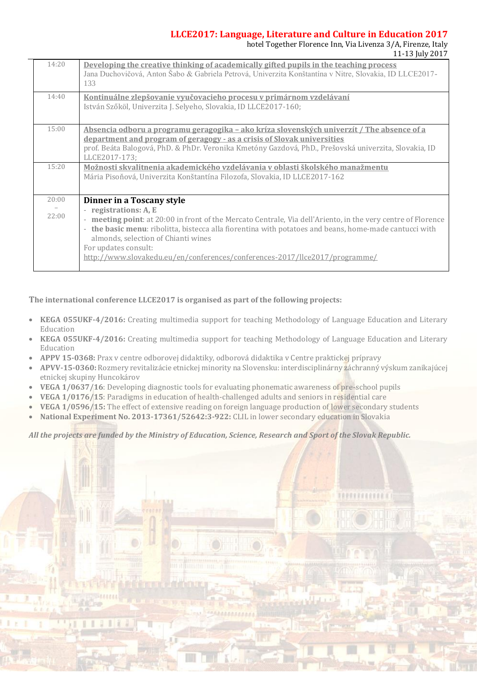#### **LLCE2017: Language, Literature and Culture in Education 2017**

hotel Together Florence Inn, Via Livenza 3/A, Firenze, Italy 11-13 July 2017

*BERREFEREER* 

| 14:20          | Developing the creative thinking of academically gifted pupils in the teaching process<br>Jana Duchovičová, Anton Šabo & Gabriela Petrová, Univerzita Konštantína v Nitre, Slovakia, ID LLCE2017-<br>133                                                                                                                                                                                                                 |  |
|----------------|--------------------------------------------------------------------------------------------------------------------------------------------------------------------------------------------------------------------------------------------------------------------------------------------------------------------------------------------------------------------------------------------------------------------------|--|
| 14:40          | Kontinuálne zlepšovanie vyučovacieho procesu v primárnom vzdelávaní<br>István Szőköl, Univerzita J. Selyeho, Slovakia, ID LLCE2017-160;                                                                                                                                                                                                                                                                                  |  |
| 15:00          | <u>Absencia odboru a programu geragogika – ako kríza slovenských univerzít / The absence of a</u><br><u>department and program of geragogy - as a crisis of Slovak universities</u><br>prof. Beáta Balogová, PhD. & PhDr. Veronika Kmetóny Gazdová, PhD., Prešovská univerzita, Slovakia, ID<br>LLCE2017-173;                                                                                                            |  |
| 15:20          | Možnosti skvalitnenia akademického vzdelávania v oblasti školského manažmentu<br>Mária Pisoňová, Univerzita Konštantína Filozofa, Slovakia, ID LLCE2017-162                                                                                                                                                                                                                                                              |  |
| 20:00<br>22:00 | Dinner in a Toscany style<br>- registrations: A, E<br>meeting point: at 20:00 in front of the Mercato Centrale, Via dell'Ariento, in the very centre of Florence<br>- the basic menu: ribolitta, bistecca alla fiorentina with potatoes and beans, home-made cantucci with<br>almonds, selection of Chianti wines<br>For updates consult:<br>http://www.slovakedu.eu/en/conferences/conferences-2017/llce2017/programme/ |  |

**The international conference LLCE2017 is organised as part of the following projects:**

- **KEGA 055UKF-4/2016:** Creating multimedia support for teaching Methodology of Language Education and Literary Education
- **KEGA 055UKF-4/2016:** Creating multimedia support for teaching Methodology of Language Education and Literary Education
- **APPV 15-0368:** Prax v centre odborovej didaktiky, odborová didaktika v Centre praktickej prípravy
- **APVV-15-0360:** Rozmery revitalizácie etnickej minority na Slovensku: interdisciplinárny záchranný výskum zanikajúcej etnickej skupiny Huncokárov
- **VEGA 1/0637/16**: Developing diagnostic tools for evaluating phonematic awareness of pre-school pupils
- **VEGA 1/0176/15**: Paradigms in education of health-challenged adults and seniors in residential care
- **VEGA 1/0596/15:** The effect of extensive reading on foreign language production of lower secondary students
- **National Experiment No. 2013-17361/52642:3-922:** CLIL in lower secondary education in Slovakia

Ш ш

*All the projects are funded by the Ministry of Education, Science, Research and Sport of the Slovak Republic.*